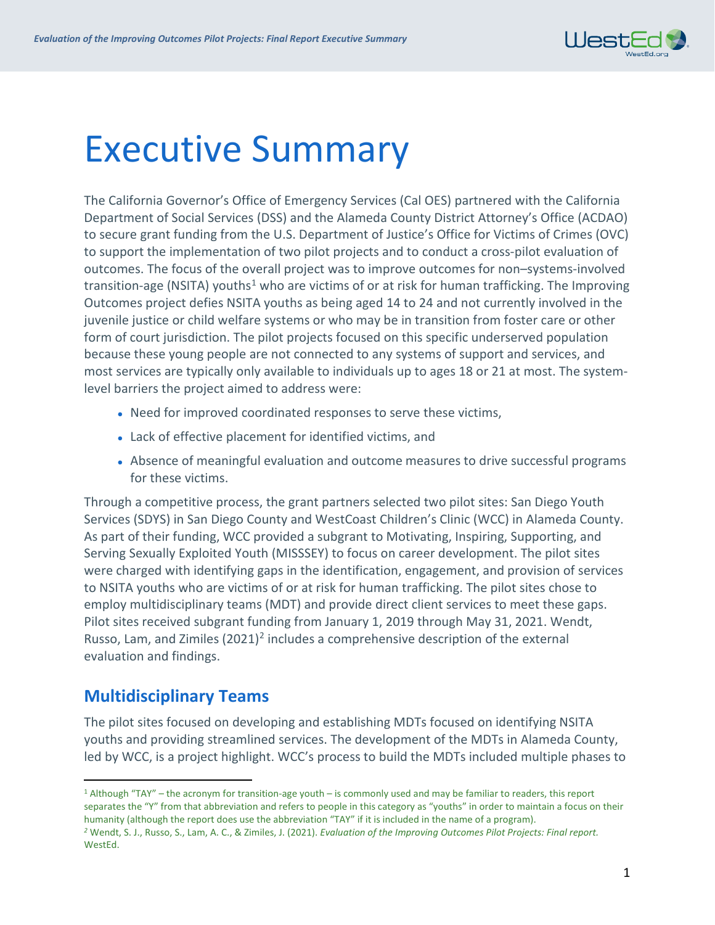

# Executive Summary

The California Governor's Office of Emergency Services (Cal OES) partnered with the California Department of Social Services (DSS) and the Alameda County District Attorney's Office (ACDAO) to secure grant funding from the U.S. Department of Justice's Office for Victims of Crimes (OVC) to support the implementation of two pilot projects and to conduct a cross-pilot evaluation of outcomes. The focus of the overall project was to improve outcomes for non–systems-involved transition-age (NSITA) youths<sup>[1](#page-0-0)</sup> who are victims of or at risk for human trafficking. The Improving Outcomes project defies NSITA youths as being aged 14 to 24 and not currently involved in the juvenile justice or child welfare systems or who may be in transition from foster care or other form of court jurisdiction. The pilot projects focused on this specific underserved population because these young people are not connected to any systems of support and services, and most services are typically only available to individuals up to ages 18 or 21 at most. The systemlevel barriers the project aimed to address were:

- Need for improved coordinated responses to serve these victims,
- Lack of effective placement for identified victims, and
- Absence of meaningful evaluation and outcome measures to drive successful programs for these victims.

Through a competitive process, the grant partners selected two pilot sites: San Diego Youth Services (SDYS) in San Diego County and WestCoast Children's Clinic (WCC) in Alameda County. As part of their funding, WCC provided a subgrant to Motivating, Inspiring, Supporting, and Serving Sexually Exploited Youth (MISSSEY) to focus on career development. The pilot sites were charged with identifying gaps in the identification, engagement, and provision of services to NSITA youths who are victims of or at risk for human trafficking. The pilot sites chose to employ multidisciplinary teams (MDT) and provide direct client services to meet these gaps. Pilot sites received subgrant funding from January 1, 2019 through May 31, 2021. Wendt, Russo, Lam, and Zimiles (2021)<sup>2</sup> includes a comprehensive description of the external evaluation and findings.

## **Multidisciplinary Teams**

The pilot sites focused on developing and establishing MDTs focused on identifying NSITA youths and providing streamlined services. The development of the MDTs in Alameda County, led by WCC, is a project highlight. WCC's process to build the MDTs included multiple phases to

<span id="page-0-0"></span><sup>1</sup> Although "TAY" – the acronym for transition-age youth – is commonly used and may be familiar to readers, this report separates the "Y" from that abbreviation and refers to people in this category as "youths" in order to maintain a focus on their humanity (although the report does use the abbreviation "TAY" if it is included in the name of a program).

<span id="page-0-1"></span>*<sup>2</sup>* Wendt, S. J., Russo, S., Lam, A. C., & Zimiles, J. (2021). *Evaluation of the Improving Outcomes Pilot Projects: Final report.*  WestEd.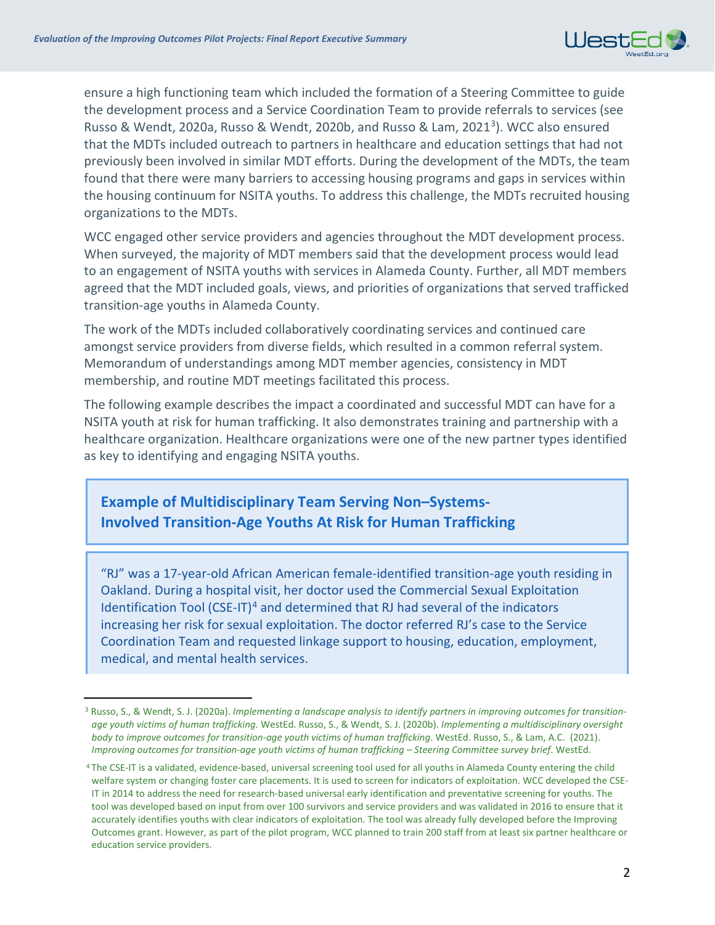

ensure a high functioning team which included the formation of a Steering Committee to guide the development process and a Service Coordination Team to provide referrals to services (see Russo & Wendt, 2020a, Russo & Wendt, 2020b, and Russo & Lam, 202[13\)](#page-1-0). WCC also ensured that the MDTs included outreach to partners in healthcare and education settings that had not previously been involved in similar MDT efforts. During the development of the MDTs, the team found that there were many barriers to accessing housing programs and gaps in services within the housing continuum for NSITA youths. To address this challenge, the MDTs recruited housing organizations to the MDTs.

WCC engaged other service providers and agencies throughout the MDT development process. When surveyed, the majority of MDT members said that the development process would lead to an engagement of NSITA youths with services in Alameda County. Further, all MDT members agreed that the MDT included goals, views, and priorities of organizations that served trafficked transition-age youths in Alameda County.

The work of the MDTs included collaboratively coordinating services and continued care amongst service providers from diverse fields, which resulted in a common referral system. Memorandum of understandings among MDT member agencies, consistency in MDT membership, and routine MDT meetings facilitated this process.

The following example describes the impact a coordinated and successful MDT can have for a NSITA youth at risk for human trafficking. It also demonstrates training and partnership with a healthcare organization. Healthcare organizations were one of the new partner types identified as key to identifying and engaging NSITA youths.

#### **Example of Multidisciplinary Team Serving Non–Systems-Involved Transition-Age Youths At Risk for Human Trafficking**

"RJ" was a 17-year-old African American female-identified transition-age youth residing in Oakland. During a hospital visit, her doctor used the Commercial Sexual Exploitation Identification Tool (CSE-IT)<sup>[4](#page-1-1)</sup> and determined that RJ had several of the indicators increasing her risk for sexual exploitation. The doctor referred RJ's case to the Service Coordination Team and requested linkage support to housing, education, employment, medical, and mental health services.

<span id="page-1-0"></span><sup>3</sup> Russo, S., & Wendt, S. J. (2020a). *Implementing a landscape analysis to identify partners in improving outcomes for transitionage youth victims of human trafficking.* WestEd. Russo, S., & Wendt, S. J. (2020b). *Implementing a multidisciplinary oversight body to improve outcomes for transition-age youth victims of human trafficking*. WestEd. Russo, S., & Lam, A.C. (2021). *Improving outcomes for transition-age youth victims of human trafficking – Steering Committee survey brief*. WestEd.

<span id="page-1-1"></span><sup>4</sup> The CSE-IT is a validated, evidence-based, universal screening tool used for all youths in Alameda County entering the child welfare system or changing foster care placements. It is used to screen for indicators of exploitation. WCC developed the CSE-IT in 2014 to address the need for research-based universal early identification and preventative screening for youths. The tool was developed based on input from over 100 survivors and service providers and was validated in 2016 to ensure that it accurately identifies youths with clear indicators of exploitation. The tool was already fully developed before the Improving Outcomes grant. However, as part of the pilot program, WCC planned to train 200 staff from at least six partner healthcare or education service providers.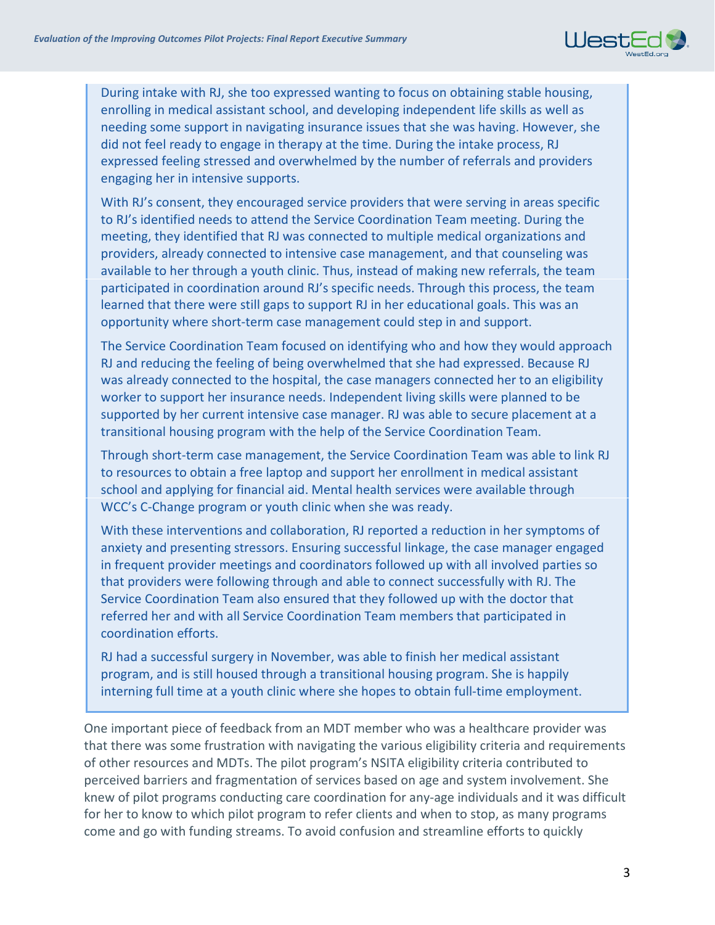

During intake with RJ, she too expressed wanting to focus on obtaining stable housing, enrolling in medical assistant school, and developing independent life skills as well as needing some support in navigating insurance issues that she was having. However, she did not feel ready to engage in therapy at the time. During the intake process, RJ expressed feeling stressed and overwhelmed by the number of referrals and providers engaging her in intensive supports.

With RJ's consent, they encouraged service providers that were serving in areas specific to RJ's identified needs to attend the Service Coordination Team meeting. During the meeting, they identified that RJ was connected to multiple medical organizations and providers, already connected to intensive case management, and that counseling was available to her through a youth clinic. Thus, instead of making new referrals, the team participated in coordination around RJ's specific needs. Through this process, the team learned that there were still gaps to support RJ in her educational goals. This was an opportunity where short-term case management could step in and support.

The Service Coordination Team focused on identifying who and how they would approach RJ and reducing the feeling of being overwhelmed that she had expressed. Because RJ was already connected to the hospital, the case managers connected her to an eligibility worker to support her insurance needs. Independent living skills were planned to be supported by her current intensive case manager. RJ was able to secure placement at a transitional housing program with the help of the Service Coordination Team.

Through short-term case management, the Service Coordination Team was able to link RJ to resources to obtain a free laptop and support her enrollment in medical assistant school and applying for financial aid. Mental health services were available through WCC's C-Change program or youth clinic when she was ready.

With these interventions and collaboration, RJ reported a reduction in her symptoms of anxiety and presenting stressors. Ensuring successful linkage, the case manager engaged in frequent provider meetings and coordinators followed up with all involved parties so that providers were following through and able to connect successfully with RJ. The Service Coordination Team also ensured that they followed up with the doctor that referred her and with all Service Coordination Team members that participated in coordination efforts.

RJ had a successful surgery in November, was able to finish her medical assistant program, and is still housed through a transitional housing program. She is happily interning full time at a youth clinic where she hopes to obtain full-time employment.

One important piece of feedback from an MDT member who was a healthcare provider was that there was some frustration with navigating the various eligibility criteria and requirements of other resources and MDTs. The pilot program's NSITA eligibility criteria contributed to perceived barriers and fragmentation of services based on age and system involvement. She knew of pilot programs conducting care coordination for any-age individuals and it was difficult for her to know to which pilot program to refer clients and when to stop, as many programs come and go with funding streams. To avoid confusion and streamline efforts to quickly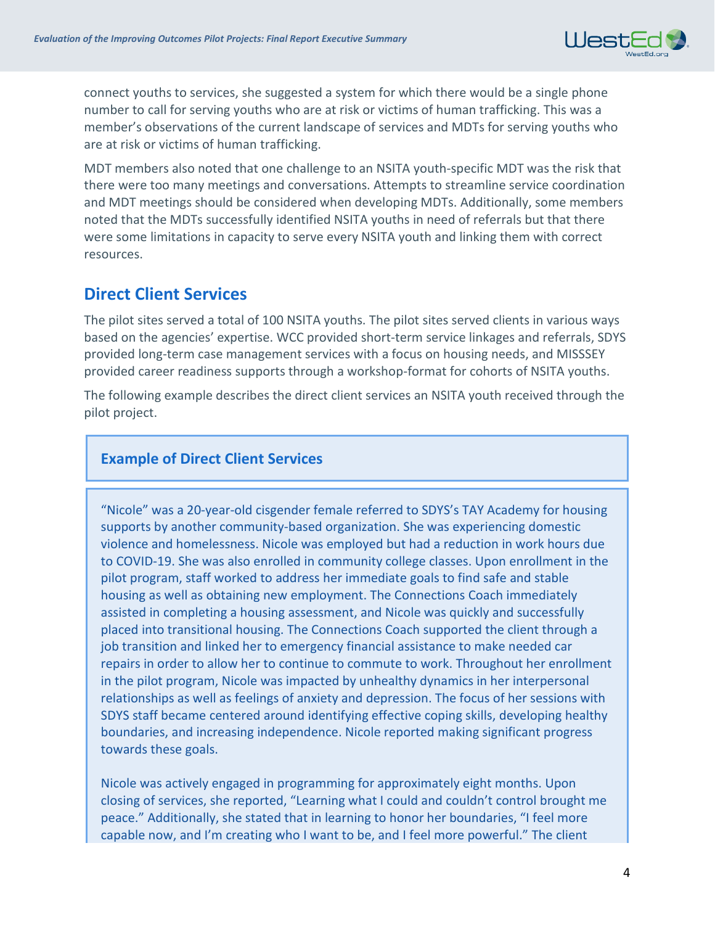

connect youths to services, she suggested a system for which there would be a single phone number to call for serving youths who are at risk or victims of human trafficking. This was a member's observations of the current landscape of services and MDTs for serving youths who are at risk or victims of human trafficking.

MDT members also noted that one challenge to an NSITA youth-specific MDT was the risk that there were too many meetings and conversations. Attempts to streamline service coordination and MDT meetings should be considered when developing MDTs. Additionally, some members noted that the MDTs successfully identified NSITA youths in need of referrals but that there were some limitations in capacity to serve every NSITA youth and linking them with correct resources.

### **Direct Client Services**

The pilot sites served a total of 100 NSITA youths. The pilot sites served clients in various ways based on the agencies' expertise. WCC provided short-term service linkages and referrals, SDYS provided long-term case management services with a focus on housing needs, and MISSSEY provided career readiness supports through a workshop-format for cohorts of NSITA youths.

The following example describes the direct client services an NSITA youth received through the pilot project.

#### **Example of Direct Client Services**

"Nicole" was a 20-year-old cisgender female referred to SDYS's TAY Academy for housing supports by another community-based organization. She was experiencing domestic violence and homelessness. Nicole was employed but had a reduction in work hours due to COVID-19. She was also enrolled in community college classes. Upon enrollment in the pilot program, staff worked to address her immediate goals to find safe and stable housing as well as obtaining new employment. The Connections Coach immediately assisted in completing a housing assessment, and Nicole was quickly and successfully placed into transitional housing. The Connections Coach supported the client through a job transition and linked her to emergency financial assistance to make needed car repairs in order to allow her to continue to commute to work. Throughout her enrollment in the pilot program, Nicole was impacted by unhealthy dynamics in her interpersonal relationships as well as feelings of anxiety and depression. The focus of her sessions with SDYS staff became centered around identifying effective coping skills, developing healthy boundaries, and increasing independence. Nicole reported making significant progress towards these goals.

Nicole was actively engaged in programming for approximately eight months. Upon closing of services, she reported, "Learning what I could and couldn't control brought me peace." Additionally, she stated that in learning to honor her boundaries, "I feel more capable now, and I'm creating who I want to be, and I feel more powerful." The client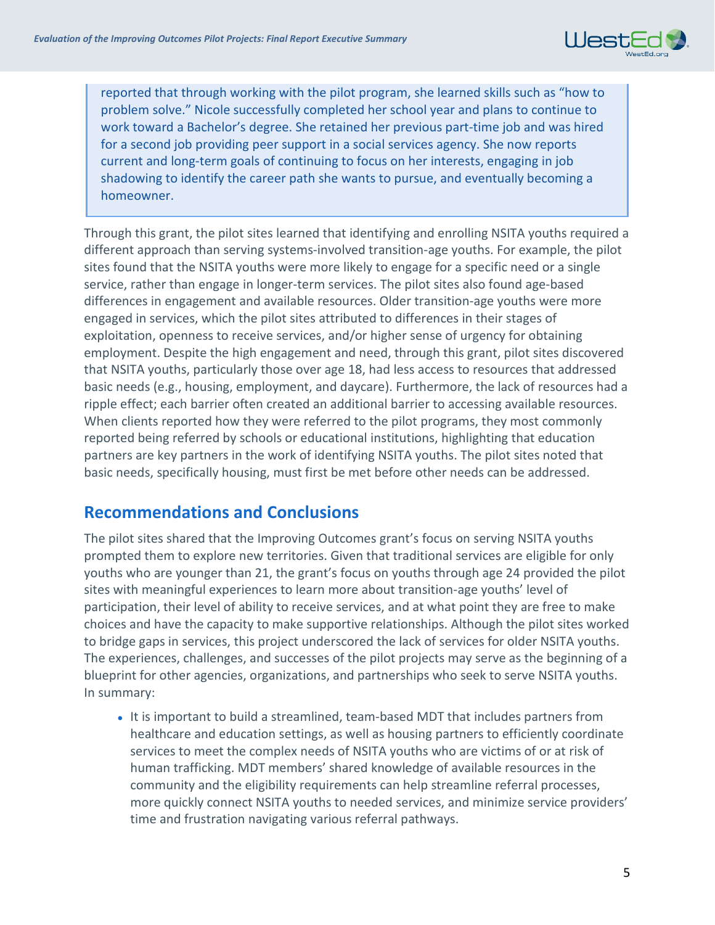

reported that through working with the pilot program, she learned skills such as "how to problem solve." Nicole successfully completed her school year and plans to continue to work toward a Bachelor's degree. She retained her previous part-time job and was hired for a second job providing peer support in a social services agency. She now reports current and long-term goals of continuing to focus on her interests, engaging in job shadowing to identify the career path she wants to pursue, and eventually becoming a homeowner.

Through this grant, the pilot sites learned that identifying and enrolling NSITA youths required a different approach than serving systems-involved transition-age youths. For example, the pilot sites found that the NSITA youths were more likely to engage for a specific need or a single service, rather than engage in longer-term services. The pilot sites also found age-based differences in engagement and available resources. Older transition-age youths were more engaged in services, which the pilot sites attributed to differences in their stages of exploitation, openness to receive services, and/or higher sense of urgency for obtaining employment. Despite the high engagement and need, through this grant, pilot sites discovered that NSITA youths, particularly those over age 18, had less access to resources that addressed basic needs (e.g., housing, employment, and daycare). Furthermore, the lack of resources had a ripple effect; each barrier often created an additional barrier to accessing available resources. When clients reported how they were referred to the pilot programs, they most commonly reported being referred by schools or educational institutions, highlighting that education partners are key partners in the work of identifying NSITA youths. The pilot sites noted that basic needs, specifically housing, must first be met before other needs can be addressed.

# **Recommendations and Conclusions**

The pilot sites shared that the Improving Outcomes grant's focus on serving NSITA youths prompted them to explore new territories. Given that traditional services are eligible for only youths who are younger than 21, the grant's focus on youths through age 24 provided the pilot sites with meaningful experiences to learn more about transition-age youths' level of participation, their level of ability to receive services, and at what point they are free to make choices and have the capacity to make supportive relationships. Although the pilot sites worked to bridge gaps in services, this project underscored the lack of services for older NSITA youths. The experiences, challenges, and successes of the pilot projects may serve as the beginning of a blueprint for other agencies, organizations, and partnerships who seek to serve NSITA youths. In summary:

• It is important to build a streamlined, team-based MDT that includes partners from healthcare and education settings, as well as housing partners to efficiently coordinate services to meet the complex needs of NSITA youths who are victims of or at risk of human trafficking. MDT members' shared knowledge of available resources in the community and the eligibility requirements can help streamline referral processes, more quickly connect NSITA youths to needed services, and minimize service providers' time and frustration navigating various referral pathways.